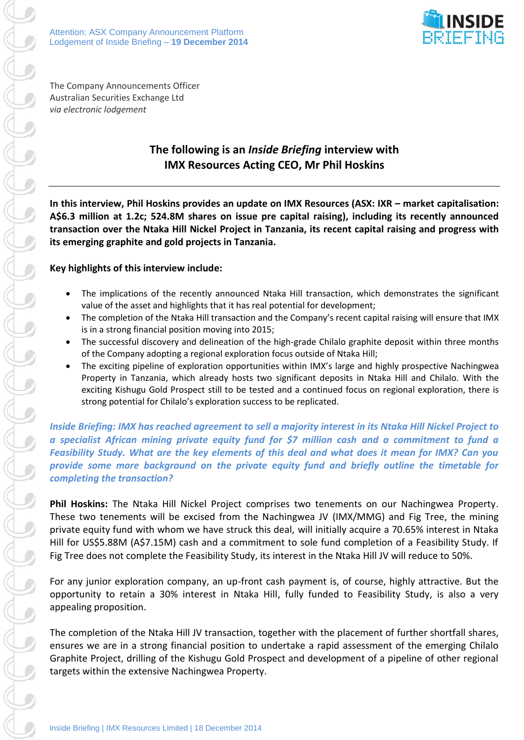

The Company Announcements Officer Australian Securities Exchange Ltd *via electronic lodgement*

# **The following is an** *Inside Briefing* **interview with IMX Resources Acting CEO, Mr Phil Hoskins**

**In this interview, Phil Hoskins provides an update on IMX Resources (ASX: IXR – market capitalisation: A\$6.3 million at 1.2c; 524.8M shares on issue pre capital raising), including its recently announced transaction over the Ntaka Hill Nickel Project in Tanzania, its recent capital raising and progress with its emerging graphite and gold projects in Tanzania.** 

## **Key highlights of this interview include:**

- The implications of the recently announced Ntaka Hill transaction, which demonstrates the significant value of the asset and highlights that it has real potential for development;
- The completion of the Ntaka Hill transaction and the Company's recent capital raising will ensure that IMX is in a strong financial position moving into 2015;
- The successful discovery and delineation of the high-grade Chilalo graphite deposit within three months of the Company adopting a regional exploration focus outside of Ntaka Hill;
- The exciting pipeline of exploration opportunities within IMX's large and highly prospective Nachingwea Property in Tanzania, which already hosts two significant deposits in Ntaka Hill and Chilalo. With the exciting Kishugu Gold Prospect still to be tested and a continued focus on regional exploration, there is strong potential for Chilalo's exploration success to be replicated.

*Inside Briefing: IMX has reached agreement to sell a majority interest in its Ntaka Hill Nickel Project to a specialist African mining private equity fund for \$7 million cash and a commitment to fund a Feasibility Study. What are the key elements of this deal and what does it mean for IMX? Can you provide some more background on the private equity fund and briefly outline the timetable for completing the transaction?*

**Phil Hoskins:** The Ntaka Hill Nickel Project comprises two tenements on our Nachingwea Property. These two tenements will be excised from the Nachingwea JV (IMX/MMG) and Fig Tree, the mining private equity fund with whom we have struck this deal, will initially acquire a 70.65% interest in Ntaka Hill for US\$5.88M (A\$7.15M) cash and a commitment to sole fund completion of a Feasibility Study. If Fig Tree does not complete the Feasibility Study, its interest in the Ntaka Hill JV will reduce to 50%.

For any junior exploration company, an up-front cash payment is, of course, highly attractive. But the opportunity to retain a 30% interest in Ntaka Hill, fully funded to Feasibility Study, is also a very appealing proposition.

The completion of the Ntaka Hill JV transaction, together with the placement of further shortfall shares, ensures we are in a strong financial position to undertake a rapid assessment of the emerging Chilalo Graphite Project, drilling of the Kishugu Gold Prospect and development of a pipeline of other regional targets within the extensive Nachingwea Property.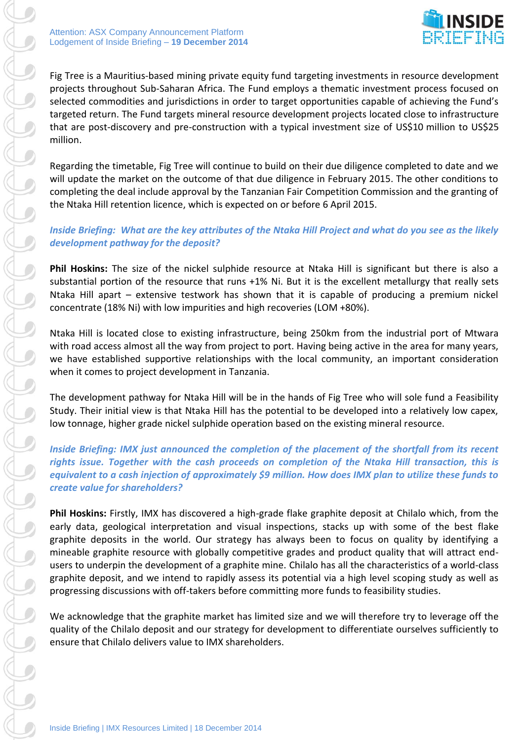

Fig Tree is a Mauritius-based mining private equity fund targeting investments in resource development projects throughout Sub-Saharan Africa. The Fund employs a thematic investment process focused on selected commodities and jurisdictions in order to target opportunities capable of achieving the Fund's targeted return. The Fund targets mineral resource development projects located close to infrastructure that are post-discovery and pre-construction with a typical investment size of US\$10 million to US\$25 million.

Regarding the timetable, Fig Tree will continue to build on their due diligence completed to date and we will update the market on the outcome of that due diligence in February 2015. The other conditions to completing the deal include approval by the Tanzanian Fair Competition Commission and the granting of the Ntaka Hill retention licence, which is expected on or before 6 April 2015.

## *Inside Briefing: What are the key attributes of the Ntaka Hill Project and what do you see as the likely development pathway for the deposit?*

**Phil Hoskins:** The size of the nickel sulphide resource at Ntaka Hill is significant but there is also a substantial portion of the resource that runs +1% Ni. But it is the excellent metallurgy that really sets Ntaka Hill apart – extensive testwork has shown that it is capable of producing a premium nickel concentrate (18% Ni) with low impurities and high recoveries (LOM +80%).

Ntaka Hill is located close to existing infrastructure, being 250km from the industrial port of Mtwara with road access almost all the way from project to port. Having being active in the area for many years, we have established supportive relationships with the local community, an important consideration when it comes to project development in Tanzania.

The development pathway for Ntaka Hill will be in the hands of Fig Tree who will sole fund a Feasibility Study. Their initial view is that Ntaka Hill has the potential to be developed into a relatively low capex, low tonnage, higher grade nickel sulphide operation based on the existing mineral resource.

*Inside Briefing: IMX just announced the completion of the placement of the shortfall from its recent rights issue. Together with the cash proceeds on completion of the Ntaka Hill transaction, this is equivalent to a cash injection of approximately \$9 million. How does IMX plan to utilize these funds to create value for shareholders?*

**Phil Hoskins:** Firstly, IMX has discovered a high-grade flake graphite deposit at Chilalo which, from the early data, geological interpretation and visual inspections, stacks up with some of the best flake graphite deposits in the world. Our strategy has always been to focus on quality by identifying a mineable graphite resource with globally competitive grades and product quality that will attract endusers to underpin the development of a graphite mine. Chilalo has all the characteristics of a world-class graphite deposit, and we intend to rapidly assess its potential via a high level scoping study as well as progressing discussions with off-takers before committing more funds to feasibility studies.

We acknowledge that the graphite market has limited size and we will therefore try to leverage off the quality of the Chilalo deposit and our strategy for development to differentiate ourselves sufficiently to ensure that Chilalo delivers value to IMX shareholders.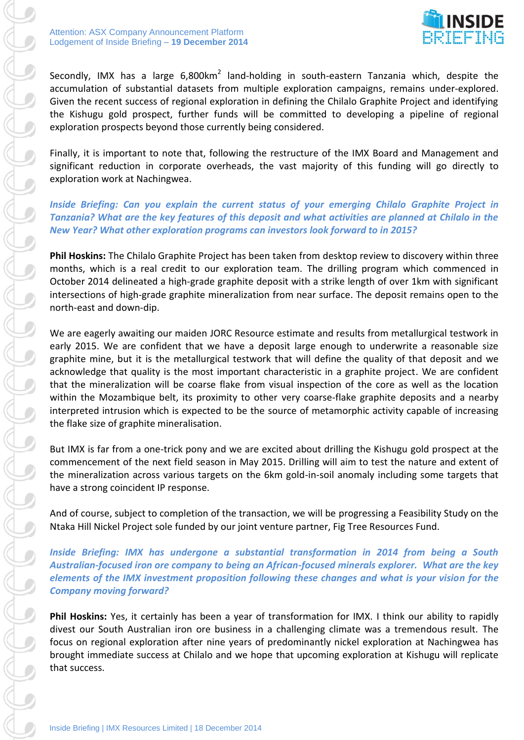### Attention: ASX Company Announcement Platform Lodgement of Inside Briefing – **19 December 2014**



Secondly, IMX has a large 6,800km<sup>2</sup> land-holding in south-eastern Tanzania which, despite the accumulation of substantial datasets from multiple exploration campaigns, remains under-explored. Given the recent success of regional exploration in defining the Chilalo Graphite Project and identifying the Kishugu gold prospect, further funds will be committed to developing a pipeline of regional exploration prospects beyond those currently being considered.

Finally, it is important to note that, following the restructure of the IMX Board and Management and significant reduction in corporate overheads, the vast majority of this funding will go directly to exploration work at Nachingwea.

## *Inside Briefing: Can you explain the current status of your emerging Chilalo Graphite Project in Tanzania? What are the key features of this deposit and what activities are planned at Chilalo in the New Year? What other exploration programs can investors look forward to in 2015?*

**Phil Hoskins:** The Chilalo Graphite Project has been taken from desktop review to discovery within three months, which is a real credit to our exploration team. The drilling program which commenced in October 2014 delineated a high-grade graphite deposit with a strike length of over 1km with significant intersections of high-grade graphite mineralization from near surface. The deposit remains open to the north-east and down-dip.

We are eagerly awaiting our maiden JORC Resource estimate and results from metallurgical testwork in early 2015. We are confident that we have a deposit large enough to underwrite a reasonable size graphite mine, but it is the metallurgical testwork that will define the quality of that deposit and we acknowledge that quality is the most important characteristic in a graphite project. We are confident that the mineralization will be coarse flake from visual inspection of the core as well as the location within the Mozambique belt, its proximity to other very coarse-flake graphite deposits and a nearby interpreted intrusion which is expected to be the source of metamorphic activity capable of increasing the flake size of graphite mineralisation.

But IMX is far from a one-trick pony and we are excited about drilling the Kishugu gold prospect at the commencement of the next field season in May 2015. Drilling will aim to test the nature and extent of the mineralization across various targets on the 6km gold-in-soil anomaly including some targets that have a strong coincident IP response.

And of course, subject to completion of the transaction, we will be progressing a Feasibility Study on the Ntaka Hill Nickel Project sole funded by our joint venture partner, Fig Tree Resources Fund.

*Inside Briefing: IMX has undergone a substantial transformation in 2014 from being a South Australian-focused iron ore company to being an African-focused minerals explorer. What are the key elements of the IMX investment proposition following these changes and what is your vision for the Company moving forward?*

**Phil Hoskins:** Yes, it certainly has been a year of transformation for IMX. I think our ability to rapidly divest our South Australian iron ore business in a challenging climate was a tremendous result. The focus on regional exploration after nine years of predominantly nickel exploration at Nachingwea has brought immediate success at Chilalo and we hope that upcoming exploration at Kishugu will replicate that success.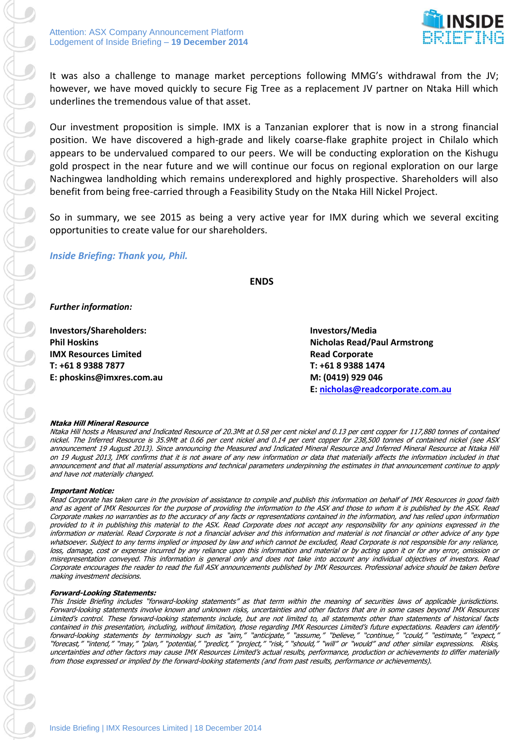

It was also a challenge to manage market perceptions following MMG's withdrawal from the JV; however, we have moved quickly to secure Fig Tree as a replacement JV partner on Ntaka Hill which underlines the tremendous value of that asset.

Our investment proposition is simple. IMX is a Tanzanian explorer that is now in a strong financial position. We have discovered a high-grade and likely coarse-flake graphite project in Chilalo which appears to be undervalued compared to our peers. We will be conducting exploration on the Kishugu gold prospect in the near future and we will continue our focus on regional exploration on our large Nachingwea landholding which remains underexplored and highly prospective. Shareholders will also benefit from being free-carried through a Feasibility Study on the Ntaka Hill Nickel Project.

So in summary, we see 2015 as being a very active year for IMX during which we several exciting opportunities to create value for our shareholders.

### *Inside Briefing: Thank you, Phil.*

**ENDS**

*Further information:*

**Investors/Shareholders: Investors/Media IMX Resources Limited Read Corporate T: +61 8 9388 7877 T: +61 8 9388 1474 E: phoskins@imxres.com.au M: (0419) 929 046**

**Phil Hoskins Nicholas Read/Paul Armstrong E: [nicholas@readcorporate.com.au](mailto:nicholas@readcorporate.com.au)**

#### **Ntaka Hill Mineral Resource**

Ntaka Hill hosts a Measured and Indicated Resource of 20.3Mt at 0.58 per cent nickel and 0.13 per cent copper for 117,880 tonnes of contained nickel. The Inferred Resource is 35.9Mt at 0.66 per cent nickel and 0.14 per cent copper for 238,500 tonnes of contained nickel (see ASX announcement 19 August 2013). Since announcing the Measured and Indicated Mineral Resource and Inferred Mineral Resource at Ntaka Hill on 19 August 2013, IMX confirms that it is not aware of any new information or data that materially affects the information included in that announcement and that all material assumptions and technical parameters underpinning the estimates in that announcement continue to apply and have not materially changed.

#### **Important Notice:**

Read Corporate has taken care in the provision of assistance to compile and publish this information on behalf of IMX Resources in good faith and as agent of IMX Resources for the purpose of providing the information to the ASX and those to whom it is published by the ASX. Read Corporate makes no warranties as to the accuracy of any facts or representations contained in the information, and has relied upon information provided to it in publishing this material to the ASX. Read Corporate does not accept any responsibility for any opinions expressed in the information or material. Read Corporate is not a financial adviser and this information and material is not financial or other advice of any type whatsoever. Subject to any terms implied or imposed by law and which cannot be excluded, Read Corporate is not responsible for any reliance, loss, damage, cost or expense incurred by any reliance upon this information and material or by acting upon it or for any error, omission or misrepresentation conveyed. This information is general only and does not take into account any individual objectives of investors. Read Corporate encourages the reader to read the full ASX announcements published by IMX Resources. Professional advice should be taken before making investment decisions.

#### **Forward-Looking Statements:**

This Inside Briefing includes "forward-looking statements" as that term within the meaning of securities laws of applicable jurisdictions. Forward-looking statements involve known and unknown risks, uncertainties and other factors that are in some cases beyond IMX Resources Limited's control. These forward-looking statements include, but are not limited to, all statements other than statements of historical facts contained in this presentation, including, without limitation, those regarding IMX Resources Limited's future expectations. Readers can identify forward-looking statements by terminology such as "aim," "anticipate," "assume," "believe," "continue," "could," "estimate," "expect," "forecast," "intend," "may," "plan," "potential," "predict," "project," "risk," "should," "will" or "would" and other similar expressions. Risks, uncertainties and other factors may cause IMX Resources Limited's actual results, performance, production or achievements to differ materially from those expressed or implied by the forward-looking statements (and from past results, performance or achievements).